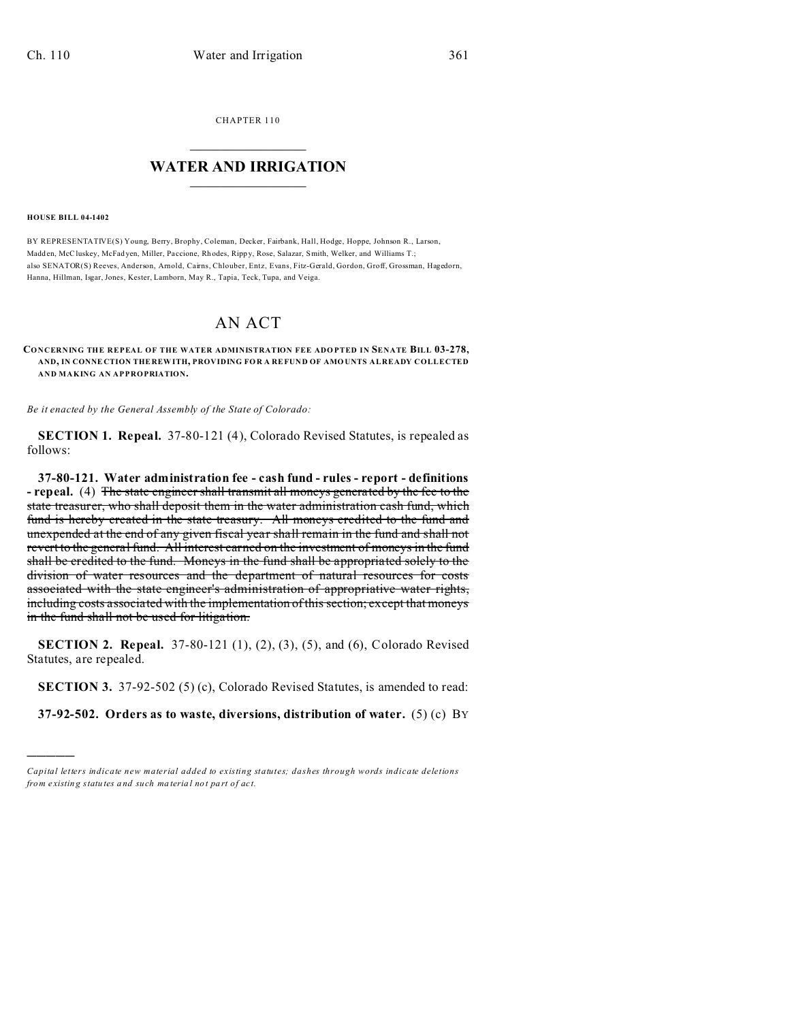CHAPTER 110  $\overline{\phantom{a}}$  , where  $\overline{\phantom{a}}$ 

## **WATER AND IRRIGATION**  $\_$   $\_$   $\_$   $\_$   $\_$   $\_$   $\_$   $\_$   $\_$

**HOUSE BILL 04-1402**

)))))

BY REPRESENTATIVE(S) Young, Berry, Brophy, Coleman, Decker, Fairbank, Hall, Hodge, Hoppe, Johnson R., Larson, Madd en, McCluskey, McFad yen, Miller, Pa ccione, Rh odes, Ripp y, Rose, Salazar, Smith, Welker, and Williams T.; also SENATOR(S) Reeves, Anderson, Arnold, Cairns, Chlouber, Entz, Evans, Fitz-Gerald, Gordon, Groff, Grossman, Hagedorn, Hanna, Hillman, Isgar, Jones, Kester, Lamborn, May R., Tapia, Teck, Tupa, and Veiga.

## AN ACT

## **CONCERNING THE REPEAL OF THE WATER ADMINISTRATION FEE ADO PTED IN SENATE BILL 03-278, AND, IN CONNE CTION THE REW ITH, PROVIDING FOR A REFUN D OF AMO UNTS ALREADY COLLECTED AND MAKING AN APPROPRIATION.**

*Be it enacted by the General Assembly of the State of Colorado:*

**SECTION 1. Repeal.** 37-80-121 (4), Colorado Revised Statutes, is repealed as follows:

**37-80-121. Water administration fee - cash fund - rules - report - definitions - repeal.** (4) The state engineer shall transmit all moneys generated by the fee to the state treasurer, who shall deposit them in the water administration cash fund, which fund is hereby created in the state treasury. All moneys credited to the fund and unexpended at the end of any given fiscal year shall remain in the fund and shall not revert to the general fund. All interest earned on the investment of moneys in the fund shall be credited to the fund. Moneys in the fund shall be appropriated solely to the division of water resources and the department of natural resources for costs associated with the state engineer's administration of appropriative water rights, including costs associated with the implementation of this section; except that moneys in the fund shall not be used for litigation.

**SECTION 2. Repeal.** 37-80-121 (1), (2), (3), (5), and (6), Colorado Revised Statutes, are repealed.

**SECTION 3.** 37-92-502 (5) (c), Colorado Revised Statutes, is amended to read:

**37-92-502. Orders as to waste, diversions, distribution of water.** (5) (c) BY

*Capital letters indicate new material added to existing statutes; dashes through words indicate deletions from e xistin g statu tes a nd such ma teria l no t pa rt of ac t.*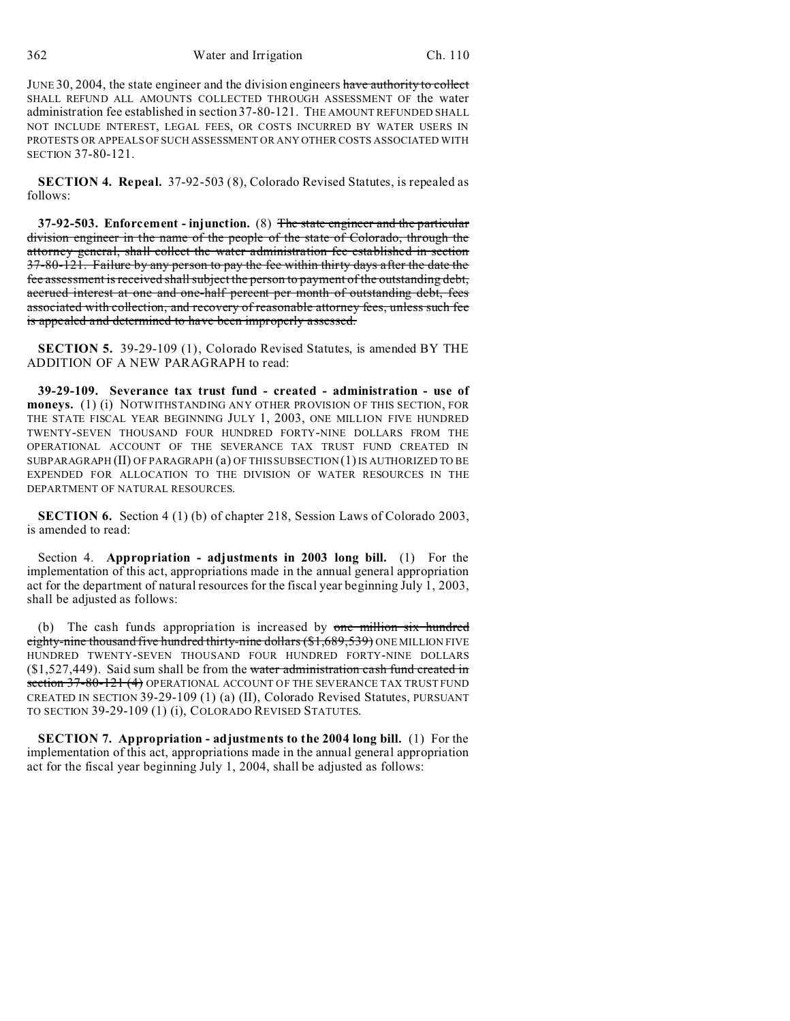JUNE 30, 2004, the state engineer and the division engineers have authority to collect SHALL REFUND ALL AMOUNTS COLLECTED THROUGH ASSESSMENT OF the water administration fee established in section 37-80-121. THE AMOUNT REFUNDED SHALL NOT INCLUDE INTEREST, LEGAL FEES, OR COSTS INCURRED BY WATER USERS IN PROTESTS OR APPEALS OF SUCH ASSESSMENT OR ANY OTHER COSTS ASSOCIATED WITH SECTION 37-80-121.

**SECTION 4. Repeal.** 37-92-503 (8), Colorado Revised Statutes, is repealed as follows:

**37-92-503. Enforcement - injunction.** (8) The state engineer and the particular division engineer in the name of the people of the state of Colorado, through the attorney general, shall collect the water administration fee established in section 37-80-121. Failure by any person to pay the fee within thirty days after the date the fee assessment is received shall subject the person to payment of the outstanding debt, accrued interest at one and one-half percent per month of outstanding debt, fees associated with collection, and recovery of reasonable attorney fees, unless such fee is appealed and determined to have been improperly assessed.

**SECTION 5.** 39-29-109 (1), Colorado Revised Statutes, is amended BY THE ADDITION OF A NEW PARAGRAPH to read:

**39-29-109. Severance tax trust fund - created - administration - use of moneys.** (1) (i) NOTWITHSTANDING ANY OTHER PROVISION OF THIS SECTION, FOR THE STATE FISCAL YEAR BEGINNING JULY 1, 2003, ONE MILLION FIVE HUNDRED TWENTY-SEVEN THOUSAND FOUR HUNDRED FORTY-NINE DOLLARS FROM THE OPERATIONAL ACCOUNT OF THE SEVERANCE TAX TRUST FUND CREATED IN SUBPARAGRAPH (II) OF PARAGRAPH (a) OF THIS SUBSECTION (1) IS AUTHORIZED TO BE EXPENDED FOR ALLOCATION TO THE DIVISION OF WATER RESOURCES IN THE DEPARTMENT OF NATURAL RESOURCES.

**SECTION 6.** Section 4 (1) (b) of chapter 218, Session Laws of Colorado 2003, is amended to read:

Section 4. **Appropriation - adjustments in 2003 long bill.** (1) For the implementation of this act, appropriations made in the annual general appropriation act for the department of natural resources for the fiscal year beginning July 1, 2003, shall be adjusted as follows:

(b) The cash funds appropriation is increased by one million six hundred eighty-nine thousand five hundred thirty-nine dollars (\$1,689,539) ONE MILLION FIVE HUNDRED TWENTY-SEVEN THOUSAND FOUR HUNDRED FORTY-NINE DOLLARS  $(1,527,449)$ . Said sum shall be from the water administration cash fund created in section 37-80-121 (4) OPERATIONAL ACCOUNT OF THE SEVERANCE TAX TRUST FUND CREATED IN SECTION 39-29-109 (1) (a) (II), Colorado Revised Statutes, PURSUANT TO SECTION 39-29-109 (1) (i), COLORADO REVISED STATUTES.

**SECTION 7. Appropriation - adjustments to the 2004 long bill.** (1) For the implementation of this act, appropriations made in the annual general appropriation act for the fiscal year beginning July 1, 2004, shall be adjusted as follows: